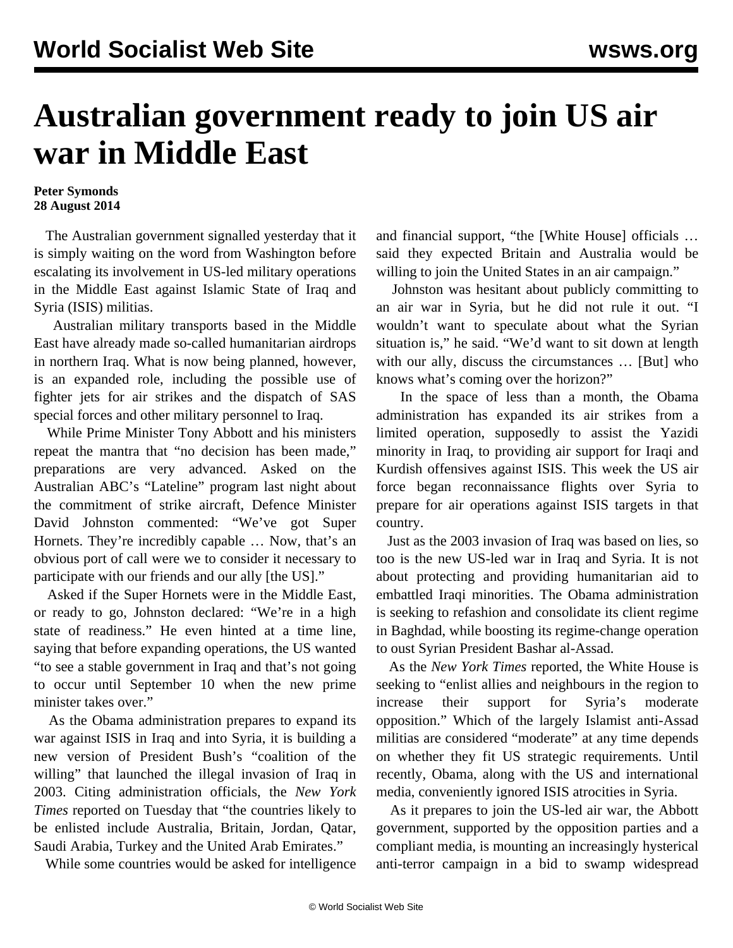## **Australian government ready to join US air war in Middle East**

## **Peter Symonds 28 August 2014**

 The Australian government signalled yesterday that it is simply waiting on the word from Washington before escalating its involvement in US-led military operations in the Middle East against Islamic State of Iraq and Syria (ISIS) militias.

 Australian military transports based in the Middle East have already made so-called humanitarian airdrops in northern Iraq. What is now being planned, however, is an expanded role, including the possible use of fighter jets for air strikes and the dispatch of SAS special forces and other military personnel to Iraq.

 While Prime Minister Tony Abbott and his ministers repeat the mantra that "no decision has been made," preparations are very advanced. Asked on the Australian ABC's "Lateline" program last night about the commitment of strike aircraft, Defence Minister David Johnston commented: "We've got Super Hornets. They're incredibly capable … Now, that's an obvious port of call were we to consider it necessary to participate with our friends and our ally [the US]."

 Asked if the Super Hornets were in the Middle East, or ready to go, Johnston declared: "We're in a high state of readiness." He even hinted at a time line, saying that before expanding operations, the US wanted "to see a stable government in Iraq and that's not going to occur until September 10 when the new prime minister takes over."

 As the Obama administration prepares to expand its war against ISIS in Iraq and into Syria, it is building a new version of President Bush's "coalition of the willing" that launched the illegal invasion of Iraq in 2003. Citing administration officials, the *New York Times* reported on Tuesday that "the countries likely to be enlisted include Australia, Britain, Jordan, Qatar, Saudi Arabia, Turkey and the United Arab Emirates."

While some countries would be asked for intelligence

and financial support, "the [White House] officials … said they expected Britain and Australia would be willing to join the United States in an air campaign."

 Johnston was hesitant about publicly committing to an air war in Syria, but he did not rule it out. "I wouldn't want to speculate about what the Syrian situation is," he said. "We'd want to sit down at length with our ally, discuss the circumstances … [But] who knows what's coming over the horizon?"

 In the space of less than a month, the Obama administration has expanded its air strikes from a limited operation, supposedly to assist the Yazidi minority in Iraq, to providing air support for Iraqi and Kurdish offensives against ISIS. This week the US air force began reconnaissance flights over Syria to prepare for air operations against ISIS targets in that country.

 Just as the 2003 invasion of Iraq was based on lies, so too is the new US-led war in Iraq and Syria. It is not about protecting and providing humanitarian aid to embattled Iraqi minorities. The Obama administration is seeking to refashion and consolidate its client regime in Baghdad, while boosting its regime-change operation to oust Syrian President Bashar al-Assad.

 As the *New York Times* reported, the White House is seeking to "enlist allies and neighbours in the region to increase their support for Syria's moderate opposition." Which of the largely Islamist anti-Assad militias are considered "moderate" at any time depends on whether they fit US strategic requirements. Until recently, Obama, along with the US and international media, conveniently ignored ISIS atrocities in Syria.

 As it prepares to join the US-led air war, the Abbott government, supported by the opposition parties and a compliant media, is mounting an increasingly hysterical anti-terror campaign in a bid to swamp widespread